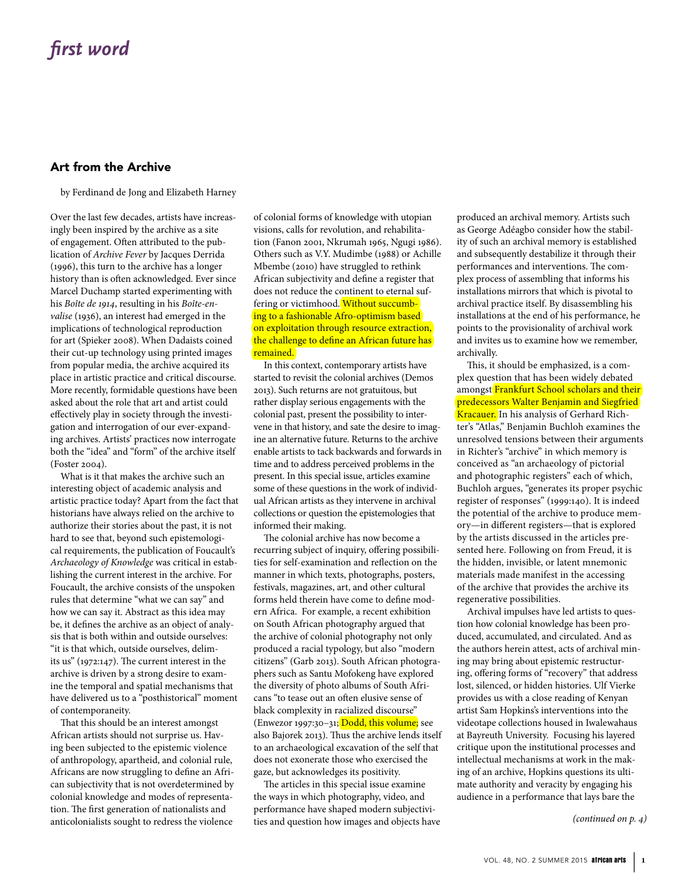## *first word*

## Art from the Archive

by Ferdinand de Jong and Elizabeth Harney

Over the last few decades, artists have increasingly been inspired by the archive as a site of engagement. Often attributed to the publication of *Archive Fever* by Jacques Derrida (1996), this turn to the archive has a longer history than is often acknowledged. Ever since Marcel Duchamp started experimenting with his *Boîte de 1914*, resulting in his *Boîte-envalise* (1936), an interest had emerged in the implications of technological reproduction for art (Spieker 2008). When Dadaists coined their cut-up technology using printed images from popular media, the archive acquired its place in artistic practice and critical discourse. More recently, formidable questions have been asked about the role that art and artist could effectively play in society through the investigation and interrogation of our ever-expanding archives. Artists' practices now interrogate both the "idea" and "form" of the archive itself  $(Foster 2004)$ .

What is it that makes the archive such an interesting object of academic analysis and artistic practice today? Apart from the fact that historians have always relied on the archive to authorize their stories about the past, it is not hard to see that, beyond such epistemological requirements, the publication of Foucault's *Archaeology of Knowledge* was critical in establishing the current interest in the archive. For Foucault, the archive consists of the unspoken rules that determine "what we can say" and how we can say it. Abstract as this idea may be, it defines the archive as an object of analysis that is both within and outside ourselves: "it is that which, outside ourselves, delimits us" (1972:147). The current interest in the archive is driven by a strong desire to examine the temporal and spatial mechanisms that have delivered us to a "posthistorical" moment of contemporaneity.

That this should be an interest amongst African artists should not surprise us. Having been subjected to the epistemic violence of anthropology, apartheid, and colonial rule, Africans are now struggling to define an African subjectivity that is not overdetermined by colonial knowledge and modes of representation. The first generation of nationalists and

of colonial forms of knowledge with utopian visions, calls for revolution, and rehabilitation (Fanon 2001, Nkrumah 1965, Ngugi 1986). Others such as V.Y. Mudimbe (1988) or Achille Mbembe (2010) have struggled to rethink African subjectivity and define a register that does not reduce the continent to eternal suffering or victimhood. Without succumbing to a fashionable Afro-optimism based on exploitation through resource extraction, the challenge to define an African future has remained.

In this context, contemporary artists have started to revisit the colonial archives (Demos 2013). Such returns are not gratuitous, but rather display serious engagements with the colonial past, present the possibility to intervene in that history, and sate the desire to imagine an alternative future. Returns to the archive enable artists to tack backwards and forwards in time and to address perceived problems in the present. In this special issue, articles examine some of these questions in the work of individual African artists as they intervene in archival collections or question the epistemologies that informed their making.

The colonial archive has now become a recurring subject of inquiry, offering possibilities for self-examination and reflection on the manner in which texts, photographs, posters, festivals, magazines, art, and other cultural forms held therein have come to define modern Africa. For example, a recent exhibition on South African photography argued that the archive of colonial photography not only produced a racial typology, but also "modern citizens" (Garb 2013). South African photographers such as Santu Mofokeng have explored the diversity of photo albums of South Africans "to tease out an often elusive sense of black complexity in racialized discourse" (Enwezor 1997:30–31; Dodd, this volume; see also Bajorek 2013). Thus the archive lends itself to an archaeological excavation of the self that does not exonerate those who exercised the gaze, but acknowledges its positivity.

anticolonialists sought to redress the violence *ies and question how images and objects have (continued on p. 4)* The articles in this special issue examine the ways in which photography, video, and performance have shaped modern subjectivi-

produced an archival memory. Artists such as George Adéagbo consider how the stability of such an archival memory is established and subsequently destabilize it through their performances and interventions. The complex process of assembling that informs his installations mirrors that which is pivotal to archival practice itself. By disassembling his installations at the end of his performance, he points to the provisionality of archival work and invites us to examine how we remember, archivally.

This, it should be emphasized, is a complex question that has been widely debated amongst Frankfurt School scholars and their predecessors Walter Benjamin and Siegfried Kracauer. In his analysis of Gerhard Richter's "Atlas," Benjamin Buchloh examines the unresolved tensions between their arguments in Richter's "archive" in which memory is conceived as "an archaeology of pictorial and photographic registers" each of which, Buchloh argues, "generates its proper psychic register of responses" (1999:140). It is indeed the potential of the archive to produce memory—in different registers—that is explored by the artists discussed in the articles presented here. Following on from Freud, it is the hidden, invisible, or latent mnemonic materials made manifest in the accessing of the archive that provides the archive its regenerative possibilities.

Archival impulses have led artists to question how colonial knowledge has been produced, accumulated, and circulated. And as the authors herein attest, acts of archival mining may bring about epistemic restructuring, offering forms of "recovery" that address lost, silenced, or hidden histories. Ulf Vierke provides us with a close reading of Kenyan artist Sam Hopkins's interventions into the videotape collections housed in Iwalewahaus at Bayreuth University. Focusing his layered critique upon the institutional processes and intellectual mechanisms at work in the making of an archive, Hopkins questions its ultimate authority and veracity by engaging his audience in a performance that lays bare the